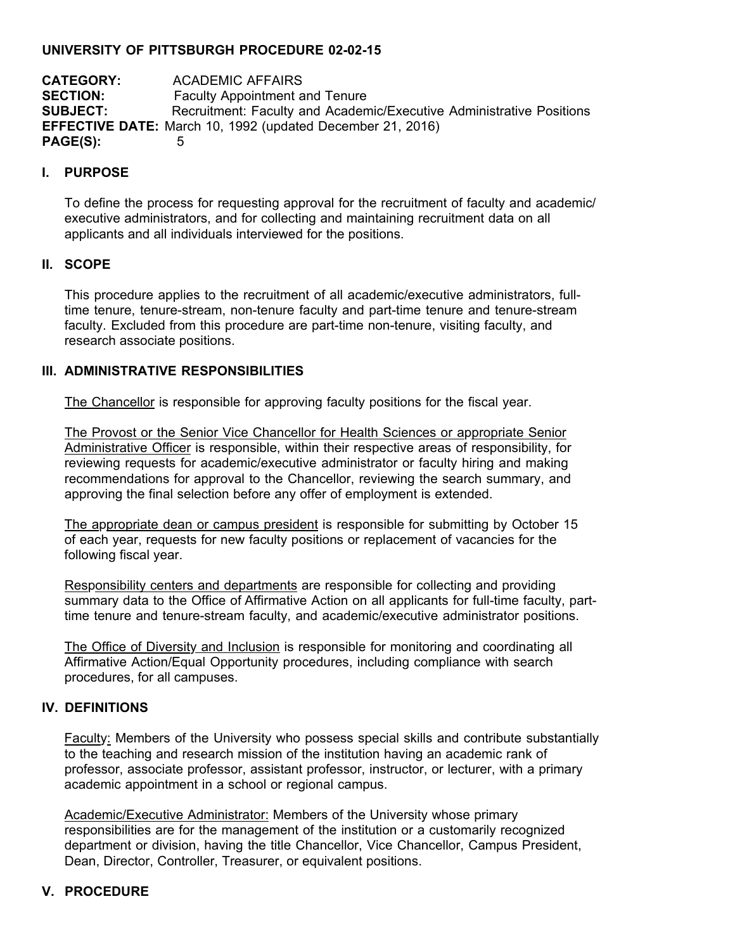#### **UNIVERSITY OF PITTSBURGH PROCEDURE 02-02-15**

**CATEGORY:** ACADEMIC AFFAIRS **SECTION:** Faculty Appointment and Tenure **SUBJECT:** Recruitment: Faculty and Academic/Executive Administrative Positions **EFFECTIVE DATE:** March 10, 1992 (updated December 21, 2016) **PAGE(S):** 5

#### **I. PURPOSE**

To define the process for requesting approval for the recruitment of faculty and academic/ executive administrators, and for collecting and maintaining recruitment data on all applicants and all individuals interviewed for the positions.

## **II. SCOPE**

This procedure applies to the recruitment of all academic/executive administrators, fulltime tenure, tenure-stream, non-tenure faculty and part-time tenure and tenure-stream faculty. Excluded from this procedure are part-time non-tenure, visiting faculty, and research associate positions.

## **III. ADMINISTRATIVE RESPONSIBILITIES**

The Chancellor is responsible for approving faculty positions for the fiscal year.

The Provost or the Senior Vice Chancellor for Health Sciences or appropriate Senior Administrative Officer is responsible, within their respective areas of responsibility, for reviewing requests for academic/executive administrator or faculty hiring and making recommendations for approval to the Chancellor, reviewing the search summary, and approving the final selection before any offer of employment is extended.

The appropriate dean or campus president is responsible for submitting by October 15 of each year, requests for new faculty positions or replacement of vacancies for the following fiscal year.

Responsibility centers and departments are responsible for collecting and providing summary data to the Office of Affirmative Action on all applicants for full-time faculty, parttime tenure and tenure-stream faculty, and academic/executive administrator positions.

The Office of Diversity and Inclusion is responsible for monitoring and coordinating all Affirmative Action/Equal Opportunity procedures, including compliance with search procedures, for all campuses.

#### **IV. DEFINITIONS**

Faculty: Members of the University who possess special skills and contribute substantially to the teaching and research mission of the institution having an academic rank of professor, associate professor, assistant professor, instructor, or lecturer, with a primary academic appointment in a school or regional campus.

Academic/Executive Administrator: Members of the University whose primary responsibilities are for the management of the institution or a customarily recognized department or division, having the title Chancellor, Vice Chancellor, Campus President, Dean, Director, Controller, Treasurer, or equivalent positions.

# **V. PROCEDURE**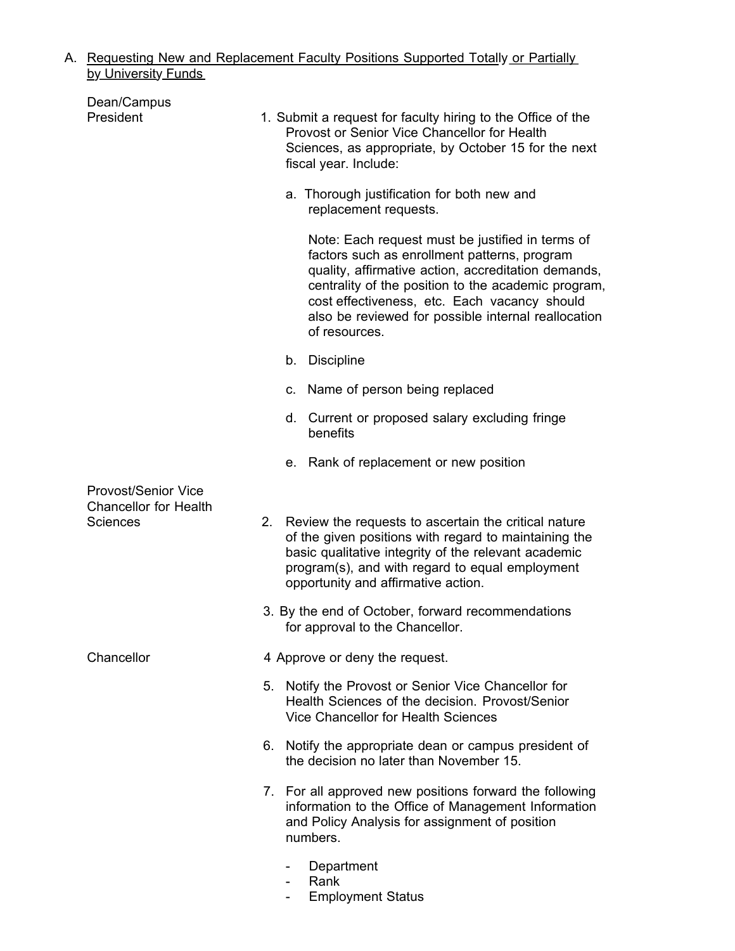#### A. Requesting New and Replacement Faculty Positions Supported Totally or Partially <u>by University Funds</u>

| Dean/Campus                                                                   |    |                                                                                      |                                                                                                                                                                                                                                                                                                                                        |  |
|-------------------------------------------------------------------------------|----|--------------------------------------------------------------------------------------|----------------------------------------------------------------------------------------------------------------------------------------------------------------------------------------------------------------------------------------------------------------------------------------------------------------------------------------|--|
| President                                                                     |    |                                                                                      | 1. Submit a request for faculty hiring to the Office of the<br>Provost or Senior Vice Chancellor for Health<br>Sciences, as appropriate, by October 15 for the next<br>fiscal year. Include:                                                                                                                                           |  |
|                                                                               |    |                                                                                      | a. Thorough justification for both new and<br>replacement requests.                                                                                                                                                                                                                                                                    |  |
|                                                                               |    |                                                                                      | Note: Each request must be justified in terms of<br>factors such as enrollment patterns, program<br>quality, affirmative action, accreditation demands,<br>centrality of the position to the academic program,<br>cost effectiveness, etc. Each vacancy should<br>also be reviewed for possible internal reallocation<br>of resources. |  |
|                                                                               |    |                                                                                      | b. Discipline                                                                                                                                                                                                                                                                                                                          |  |
|                                                                               |    |                                                                                      | c. Name of person being replaced                                                                                                                                                                                                                                                                                                       |  |
|                                                                               |    |                                                                                      | d. Current or proposed salary excluding fringe<br>benefits                                                                                                                                                                                                                                                                             |  |
|                                                                               |    |                                                                                      | e. Rank of replacement or new position                                                                                                                                                                                                                                                                                                 |  |
| <b>Provost/Senior Vice</b><br><b>Chancellor for Health</b><br><b>Sciences</b> | 2. |                                                                                      | Review the requests to ascertain the critical nature<br>of the given positions with regard to maintaining the<br>basic qualitative integrity of the relevant academic<br>program(s), and with regard to equal employment                                                                                                               |  |
|                                                                               |    | opportunity and affirmative action.                                                  |                                                                                                                                                                                                                                                                                                                                        |  |
|                                                                               |    | 3. By the end of October, forward recommendations<br>for approval to the Chancellor. |                                                                                                                                                                                                                                                                                                                                        |  |
| Chancellor                                                                    |    | 4 Approve or deny the request.                                                       |                                                                                                                                                                                                                                                                                                                                        |  |
|                                                                               |    |                                                                                      | 5. Notify the Provost or Senior Vice Chancellor for<br>Health Sciences of the decision. Provost/Senior<br>Vice Chancellor for Health Sciences                                                                                                                                                                                          |  |
|                                                                               |    |                                                                                      | 6. Notify the appropriate dean or campus president of<br>the decision no later than November 15.                                                                                                                                                                                                                                       |  |
|                                                                               |    | numbers.                                                                             | 7. For all approved new positions forward the following<br>information to the Office of Management Information<br>and Policy Analysis for assignment of position                                                                                                                                                                       |  |
|                                                                               |    |                                                                                      | Department<br>Rank                                                                                                                                                                                                                                                                                                                     |  |

- Employment Status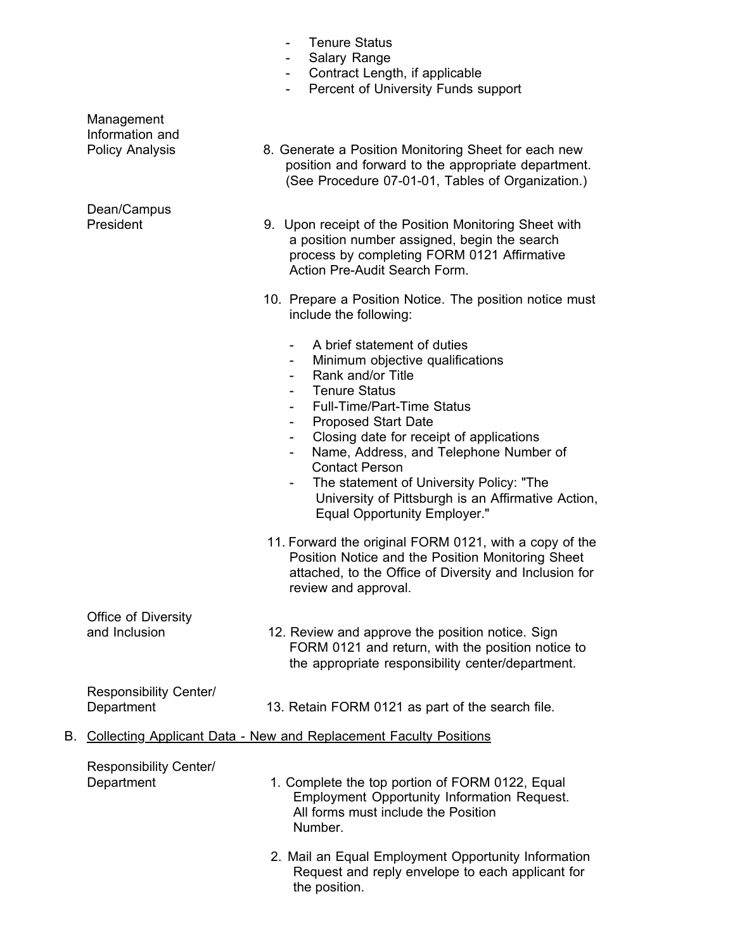|                                                                         |                                             | <b>Salary Range</b><br>Contract Length, if applicable<br>Percent of University Funds support                                                                                                                                                                                                                                                                                                                                                       |
|-------------------------------------------------------------------------|---------------------------------------------|----------------------------------------------------------------------------------------------------------------------------------------------------------------------------------------------------------------------------------------------------------------------------------------------------------------------------------------------------------------------------------------------------------------------------------------------------|
|                                                                         | Management<br>Information and               |                                                                                                                                                                                                                                                                                                                                                                                                                                                    |
|                                                                         | <b>Policy Analysis</b>                      | 8. Generate a Position Monitoring Sheet for each new<br>position and forward to the appropriate department.<br>(See Procedure 07-01-01, Tables of Organization.)                                                                                                                                                                                                                                                                                   |
|                                                                         | Dean/Campus<br>President                    | 9. Upon receipt of the Position Monitoring Sheet with<br>a position number assigned, begin the search<br>process by completing FORM 0121 Affirmative<br>Action Pre-Audit Search Form.                                                                                                                                                                                                                                                              |
|                                                                         |                                             | 10. Prepare a Position Notice. The position notice must<br>include the following:                                                                                                                                                                                                                                                                                                                                                                  |
|                                                                         |                                             | A brief statement of duties<br>Ξ.<br>Minimum objective qualifications<br>Rank and/or Title<br><b>Tenure Status</b><br><b>Full-Time/Part-Time Status</b><br><b>Proposed Start Date</b><br>Closing date for receipt of applications<br>Name, Address, and Telephone Number of<br>-<br><b>Contact Person</b><br>The statement of University Policy: "The<br>University of Pittsburgh is an Affirmative Action,<br><b>Equal Opportunity Employer."</b> |
|                                                                         |                                             | 11. Forward the original FORM 0121, with a copy of the<br>Position Notice and the Position Monitoring Sheet<br>attached, to the Office of Diversity and Inclusion for<br>review and approval.                                                                                                                                                                                                                                                      |
|                                                                         | Office of Diversity<br>and Inclusion        | 12. Review and approve the position notice. Sign<br>FORM 0121 and return, with the position notice to<br>the appropriate responsibility center/department.                                                                                                                                                                                                                                                                                         |
|                                                                         | <b>Responsibility Center/</b><br>Department | 13. Retain FORM 0121 as part of the search file.                                                                                                                                                                                                                                                                                                                                                                                                   |
| Collecting Applicant Data - New and Replacement Faculty Positions<br>В. |                                             |                                                                                                                                                                                                                                                                                                                                                                                                                                                    |
|                                                                         | Responsibility Center/<br>Department        | 1. Complete the top portion of FORM 0122, Equal<br>Employment Opportunity Information Request.<br>All forms must include the Position<br>Number.                                                                                                                                                                                                                                                                                                   |
|                                                                         |                                             | 2. Mail an Equal Employment Opportunity Information<br>Request and reply envelope to each applicant for<br>the position.                                                                                                                                                                                                                                                                                                                           |

- Tenure Status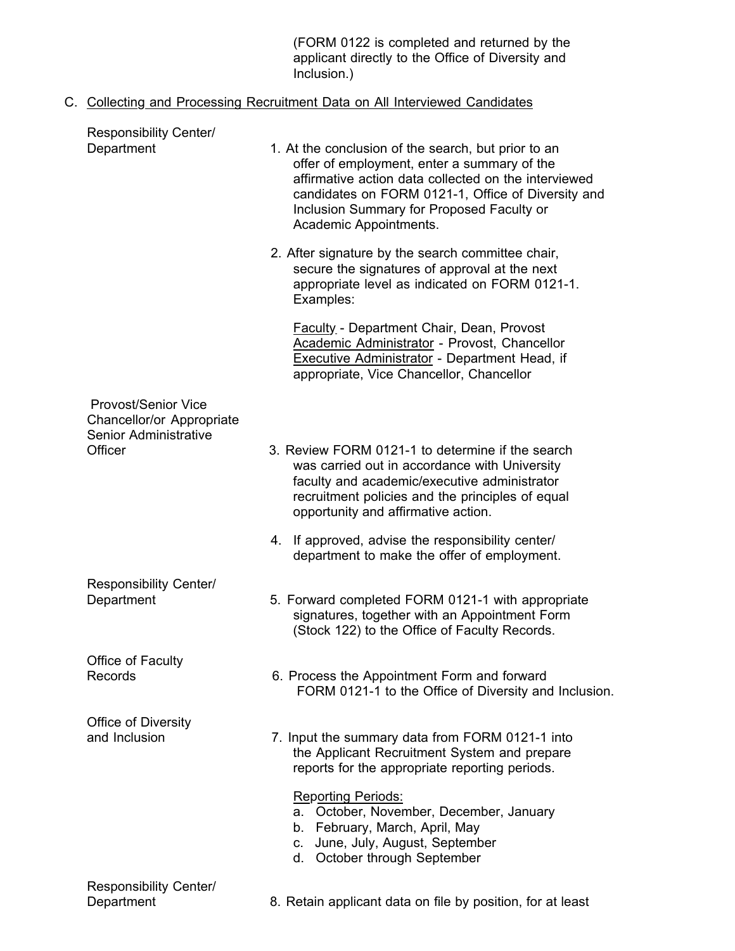(FORM 0122 is completed and returned by the applicant directly to the Office of Diversity and Inclusion.)

# C. Collecting and Processing Recruitment Data on All Interviewed Candidates

| <b>Responsibility Center/</b>                                                                      |                                                                                                                                                                                                                                                                                         |
|----------------------------------------------------------------------------------------------------|-----------------------------------------------------------------------------------------------------------------------------------------------------------------------------------------------------------------------------------------------------------------------------------------|
| Department                                                                                         | 1. At the conclusion of the search, but prior to an<br>offer of employment, enter a summary of the<br>affirmative action data collected on the interviewed<br>candidates on FORM 0121-1, Office of Diversity and<br>Inclusion Summary for Proposed Faculty or<br>Academic Appointments. |
|                                                                                                    | 2. After signature by the search committee chair,<br>secure the signatures of approval at the next<br>appropriate level as indicated on FORM 0121-1.<br>Examples:                                                                                                                       |
|                                                                                                    | <b>Faculty - Department Chair, Dean, Provost</b><br>Academic Administrator - Provost, Chancellor<br>Executive Administrator - Department Head, if<br>appropriate, Vice Chancellor, Chancellor                                                                                           |
| <b>Provost/Senior Vice</b><br>Chancellor/or Appropriate<br><b>Senior Administrative</b><br>Officer | 3. Review FORM 0121-1 to determine if the search<br>was carried out in accordance with University<br>faculty and academic/executive administrator<br>recruitment policies and the principles of equal<br>opportunity and affirmative action.                                            |
|                                                                                                    | 4. If approved, advise the responsibility center/<br>department to make the offer of employment.                                                                                                                                                                                        |
| Responsibility Center/<br>Department                                                               | 5. Forward completed FORM 0121-1 with appropriate<br>signatures, together with an Appointment Form<br>(Stock 122) to the Office of Faculty Records.                                                                                                                                     |
| Office of Faculty<br>Records                                                                       | 6. Process the Appointment Form and forward<br>FORM 0121-1 to the Office of Diversity and Inclusion.                                                                                                                                                                                    |
| Office of Diversity<br>and Inclusion                                                               | 7. Input the summary data from FORM 0121-1 into<br>the Applicant Recruitment System and prepare<br>reports for the appropriate reporting periods.                                                                                                                                       |
|                                                                                                    | <b>Reporting Periods:</b><br>October, November, December, January<br>а.<br>b. February, March, April, May<br>June, July, August, September<br>C.<br>d. October through September                                                                                                        |
| <b>Responsibility Center/</b><br>Department                                                        | 8. Retain applicant data on file by position, for at least                                                                                                                                                                                                                              |